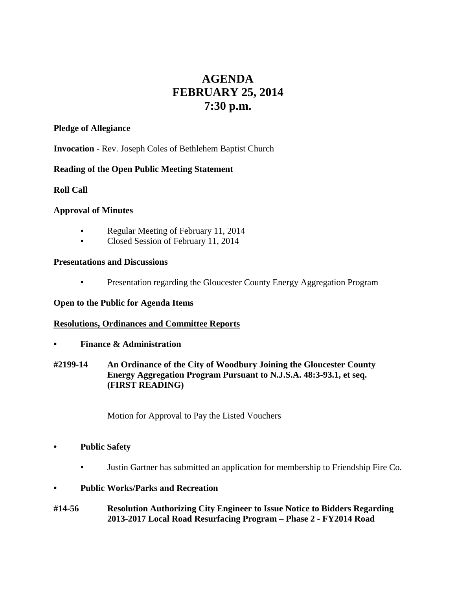# **AGENDA FEBRUARY 25, 2014 7:30 p.m.**

## **Pledge of Allegiance**

**Invocation** - Rev. Joseph Coles of Bethlehem Baptist Church

# **Reading of the Open Public Meeting Statement**

## **Roll Call**

# **Approval of Minutes**

- Regular Meeting of February 11, 2014
- **Closed Session of February 11, 2014**

## **Presentations and Discussions**

**• Presentation regarding the Gloucester County Energy Aggregation Program** 

# **Open to the Public for Agenda Items**

# **Resolutions, Ordinances and Committee Reports**

- **• Finance & Administration**
- **#2199-14 An Ordinance of the City of Woodbury Joining the Gloucester County Energy Aggregation Program Pursuant to N.J.S.A. 48:3-93.1, et seq. (FIRST READING)**

Motion for Approval to Pay the Listed Vouchers

# **• Public Safety**

▪ Justin Gartner has submitted an application for membership to Friendship Fire Co.

# **• Public Works/Parks and Recreation**

**#14-56 Resolution Authorizing City Engineer to Issue Notice to Bidders Regarding 2013-2017 Local Road Resurfacing Program – Phase 2 - FY2014 Road**